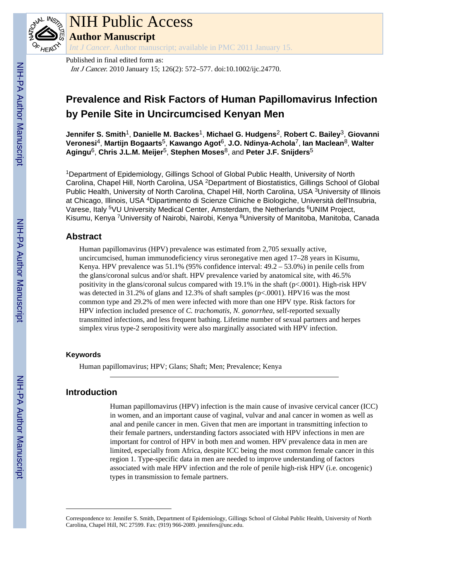

## NIH Public Access

**Author Manuscript**

*Int J Cancer*. Author manuscript; available in PMC 2011 January 15.

Published in final edited form as: Int J Cancer. 2010 January 15; 126(2): 572–577. doi:10.1002/ijc.24770.

### **Prevalence and Risk Factors of Human Papillomavirus Infection by Penile Site in Uncircumcised Kenyan Men**

**Jennifer S. Smith**1, **Danielle M. Backes**1, **Michael G. Hudgens**2, **Robert C. Bailey**3, **Giovanni Veronesi**4, **Martijn Bogaarts**5, **Kawango Agot**6, **J.O. Ndinya-Achola**7, **Ian Maclean**8, **Walter Agingu**6, **Chris J.L.M. Meijer**5, **Stephen Moses**8, and **Peter J.F. Snijders**<sup>5</sup>

<sup>1</sup>Department of Epidemiology, Gillings School of Global Public Health, University of North Carolina, Chapel Hill, North Carolina, USA <sup>2</sup>Department of Biostatistics, Gillings School of Global Public Health, University of North Carolina, Chapel Hill, North Carolina, USA <sup>3</sup>University of Illinois at Chicago, Illinois, USA <sup>4</sup>Dipartimento di Scienze Cliniche e Biologiche, Università dell'Insubria, Varese, Italy <sup>5</sup>VU University Medical Center, Amsterdam, the Netherlands <sup>6</sup>UNIM Project, Kisumu, Kenya <sup>7</sup>University of Nairobi, Nairobi, Kenya <sup>8</sup>University of Manitoba, Manitoba, Canada

#### **Abstract**

Human papillomavirus (HPV) prevalence was estimated from 2,705 sexually active, uncircumcised, human immunodeficiency virus seronegative men aged 17–28 years in Kisumu, Kenya. HPV prevalence was 51.1% (95% confidence interval: 49.2 – 53.0%) in penile cells from the glans/coronal sulcus and/or shaft. HPV prevalence varied by anatomical site, with 46.5% positivity in the glans/coronal sulcus compared with 19.1% in the shaft (p<.0001). High-risk HPV was detected in 31.2% of glans and 12.3% of shaft samples (p<.0001). HPV16 was the most common type and 29.2% of men were infected with more than one HPV type. Risk factors for HPV infection included presence of *C. trachomatis*, *N. gonorrhea*, self-reported sexually transmitted infections, and less frequent bathing. Lifetime number of sexual partners and herpes simplex virus type-2 seropositivity were also marginally associated with HPV infection.

#### **Keywords**

Human papillomavirus; HPV; Glans; Shaft; Men; Prevalence; Kenya

#### **Introduction**

Human papillomavirus (HPV) infection is the main cause of invasive cervical cancer (ICC) in women, and an important cause of vaginal, vulvar and anal cancer in women as well as anal and penile cancer in men. Given that men are important in transmitting infection to their female partners, understanding factors associated with HPV infections in men are important for control of HPV in both men and women. HPV prevalence data in men are limited, especially from Africa, despite ICC being the most common female cancer in this region 1. Type-specific data in men are needed to improve understanding of factors associated with male HPV infection and the role of penile high-risk HPV (i.e. oncogenic) types in transmission to female partners.

Correspondence to: Jennifer S. Smith, Department of Epidemiology, Gillings School of Global Public Health, University of North Carolina, Chapel Hill, NC 27599. Fax: (919) 966-2089. jennifers@unc.edu.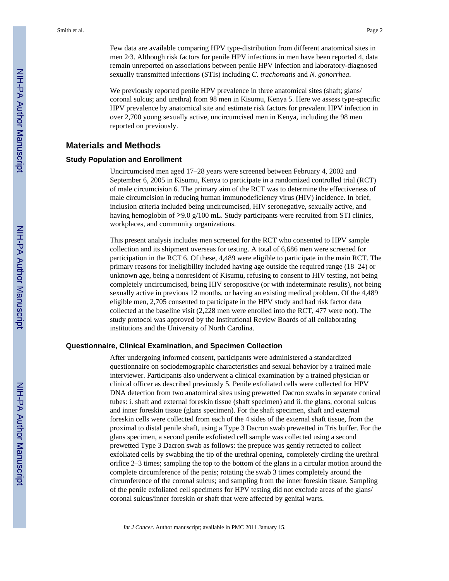We previously reported penile HPV prevalence in three anatomical sites (shaft; glans/ coronal sulcus; and urethra) from 98 men in Kisumu, Kenya 5. Here we assess type-specific HPV prevalence by anatomical site and estimate risk factors for prevalent HPV infection in over 2,700 young sexually active, uncircumcised men in Kenya, including the 98 men reported on previously.

#### **Materials and Methods**

#### **Study Population and Enrollment**

Uncircumcised men aged 17–28 years were screened between February 4, 2002 and September 6, 2005 in Kisumu, Kenya to participate in a randomized controlled trial (RCT) of male circumcision 6. The primary aim of the RCT was to determine the effectiveness of male circumcision in reducing human immunodeficiency virus (HIV) incidence. In brief, inclusion criteria included being uncircumcised, HIV seronegative, sexually active, and having hemoglobin of ≥9.0 g/100 mL. Study participants were recruited from STI clinics, workplaces, and community organizations.

This present analysis includes men screened for the RCT who consented to HPV sample collection and its shipment overseas for testing. A total of 6,686 men were screened for participation in the RCT 6. Of these, 4,489 were eligible to participate in the main RCT. The primary reasons for ineligibility included having age outside the required range (18–24) or unknown age, being a nonresident of Kisumu, refusing to consent to HIV testing, not being completely uncircumcised, being HIV seropositive (or with indeterminate results), not being sexually active in previous 12 months, or having an existing medical problem. Of the 4,489 eligible men, 2,705 consented to participate in the HPV study and had risk factor data collected at the baseline visit (2,228 men were enrolled into the RCT, 477 were not). The study protocol was approved by the Institutional Review Boards of all collaborating institutions and the University of North Carolina.

#### **Questionnaire, Clinical Examination, and Specimen Collection**

After undergoing informed consent, participants were administered a standardized questionnaire on sociodemographic characteristics and sexual behavior by a trained male interviewer. Participants also underwent a clinical examination by a trained physician or clinical officer as described previously 5. Penile exfoliated cells were collected for HPV DNA detection from two anatomical sites using prewetted Dacron swabs in separate conical tubes: i. shaft and external foreskin tissue (shaft specimen) and ii. the glans, coronal sulcus and inner foreskin tissue (glans specimen). For the shaft specimen, shaft and external foreskin cells were collected from each of the 4 sides of the external shaft tissue, from the proximal to distal penile shaft, using a Type 3 Dacron swab prewetted in Tris buffer. For the glans specimen, a second penile exfoliated cell sample was collected using a second prewetted Type 3 Dacron swab as follows: the prepuce was gently retracted to collect exfoliated cells by swabbing the tip of the urethral opening, completely circling the urethral orifice 2–3 times; sampling the top to the bottom of the glans in a circular motion around the complete circumference of the penis; rotating the swab 3 times completely around the circumference of the coronal sulcus; and sampling from the inner foreskin tissue. Sampling of the penile exfoliated cell specimens for HPV testing did not exclude areas of the glans/ coronal sulcus/inner foreskin or shaft that were affected by genital warts.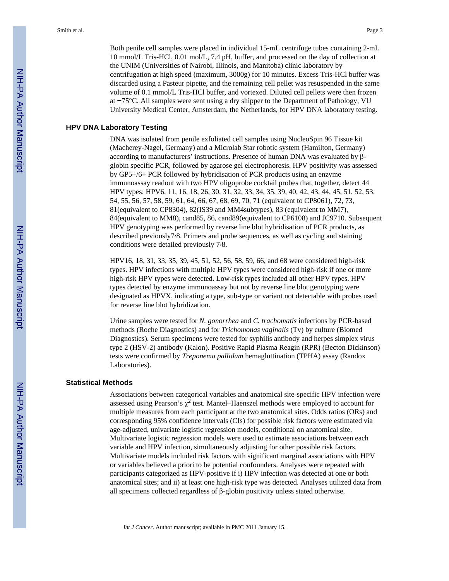Both penile cell samples were placed in individual 15-mL centrifuge tubes containing 2-mL 10 mmol/L Tris-HCl, 0.01 mol/L, 7.4 pH, buffer, and processed on the day of collection at the UNIM (Universities of Nairobi, Illinois, and Manitoba) clinic laboratory by centrifugation at high speed (maximum, 3000g) for 10 minutes. Excess Tris-HCl buffer was discarded using a Pasteur pipette, and the remaining cell pellet was resuspended in the same volume of 0.1 mmol/L Tris-HCl buffer, and vortexed. Diluted cell pellets were then frozen at −75°C. All samples were sent using a dry shipper to the Department of Pathology, VU University Medical Center, Amsterdam, the Netherlands, for HPV DNA laboratory testing.

#### **HPV DNA Laboratory Testing**

DNA was isolated from penile exfoliated cell samples using NucleoSpin 96 Tissue kit (Macherey-Nagel, Germany) and a Microlab Star robotic system (Hamilton, Germany) according to manufacturers' instructions. Presence of human DNA was evaluated by βglobin specific PCR, followed by agarose gel electrophoresis. HPV positivity was assessed by GP5+/6+ PCR followed by hybridisation of PCR products using an enzyme immunoassay readout with two HPV oligoprobe cocktail probes that, together, detect 44 HPV types: HPV6, 11, 16, 18, 26, 30, 31, 32, 33, 34, 35, 39, 40, 42, 43, 44, 45, 51, 52, 53, 54, 55, 56, 57, 58, 59, 61, 64, 66, 67, 68, 69, 70, 71 (equivalent to CP8061), 72, 73, 81(equivalent to CP8304), 82(IS39 and MM4subtypes), 83 (equivalent to MM7), 84(equivalent to MM8), cand85, 86, cand89(equivalent to CP6108) and JC9710. Subsequent HPV genotyping was performed by reverse line blot hybridisation of PCR products, as described previously7,8. Primers and probe sequences, as well as cycling and staining conditions were detailed previously 7,8.

HPV16, 18, 31, 33, 35, 39, 45, 51, 52, 56, 58, 59, 66, and 68 were considered high-risk types. HPV infections with multiple HPV types were considered high-risk if one or more high-risk HPV types were detected. Low-risk types included all other HPV types. HPV types detected by enzyme immunoassay but not by reverse line blot genotyping were designated as HPVX, indicating a type, sub-type or variant not detectable with probes used for reverse line blot hybridization.

Urine samples were tested for *N. gonorrhea* and *C. trachomatis* infections by PCR-based methods (Roche Diagnostics) and for *Trichomonas vaginalis* (Tv) by culture (Biomed Diagnostics). Serum specimens were tested for syphilis antibody and herpes simplex virus type 2 (HSV-2) antibody (Kalon). Positive Rapid Plasma Reagin (RPR) (Becton Dickinson) tests were confirmed by *Treponema pallidum* hemagluttination (TPHA) assay (Randox Laboratories).

#### **Statistical Methods**

Associations between categorical variables and anatomical site-specific HPV infection were assessed using Pearson's  $\chi^2$  test. Mantel–Haenszel methods were employed to account for multiple measures from each participant at the two anatomical sites. Odds ratios (ORs) and corresponding 95% confidence intervals (CIs) for possible risk factors were estimated via age-adjusted, univariate logistic regression models, conditional on anatomical site. Multivariate logistic regression models were used to estimate associations between each variable and HPV infection, simultaneously adjusting for other possible risk factors. Multivariate models included risk factors with significant marginal associations with HPV or variables believed a priori to be potential confounders. Analyses were repeated with participants categorized as HPV-positive if i) HPV infection was detected at one or both anatomical sites; and ii) at least one high-risk type was detected. Analyses utilized data from all specimens collected regardless of β-globin positivity unless stated otherwise.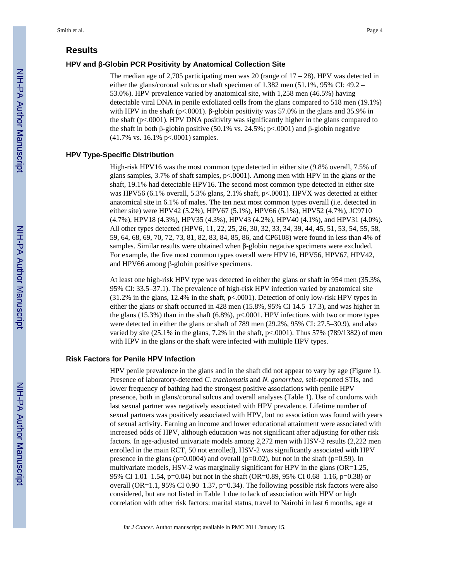#### **Results**

#### **HPV and β-Globin PCR Positivity by Anatomical Collection Site**

The median age of 2,705 participating men was 20 (range of  $17 - 28$ ). HPV was detected in either the glans/coronal sulcus or shaft specimen of 1,382 men (51.1%, 95% CI: 49.2 – 53.0%). HPV prevalence varied by anatomical site, with 1,258 men (46.5%) having detectable viral DNA in penile exfoliated cells from the glans compared to 518 men (19.1%) with HPV in the shaft (p<.0001). β-globin positivity was 57.0% in the glans and 35.9% in the shaft ( $p<0.0001$ ). HPV DNA positivity was significantly higher in the glans compared to the shaft in both β-globin positive (50.1% vs. 24.5%; p<.0001) and β-globin negative (41.7% vs. 16.1% p<.0001) samples.

#### **HPV Type-Specific Distribution**

High-risk HPV16 was the most common type detected in either site (9.8% overall, 7.5% of glans samples,  $3.7\%$  of shaft samples,  $p<0.001$ ). Among men with HPV in the glans or the shaft, 19.1% had detectable HPV16. The second most common type detected in either site was HPV56 (6.1% overall, 5.3% glans, 2.1% shaft, p<.0001). HPVX was detected at either anatomical site in 6.1% of males. The ten next most common types overall (i.e. detected in either site) were HPV42 (5.2%), HPV67 (5.1%), HPV66 (5.1%), HPV52 (4.7%), JC9710 (4.7%), HPV18 (4.3%), HPV35 (4.3%), HPV43 (4.2%), HPV40 (4.1%), and HPV31 (4.0%). All other types detected (HPV6, 11, 22, 25, 26, 30, 32, 33, 34, 39, 44, 45, 51, 53, 54, 55, 58, 59, 64, 68, 69, 70, 72, 73, 81, 82, 83, 84, 85, 86, and CP6108) were found in less than 4% of samples. Similar results were obtained when β-globin negative specimens were excluded. For example, the five most common types overall were HPV16, HPV56, HPV67, HPV42, and HPV66 among β-globin positive specimens.

At least one high-risk HPV type was detected in either the glans or shaft in 954 men (35.3%, 95% CI: 33.5–37.1). The prevalence of high-risk HPV infection varied by anatomical site (31.2% in the glans, 12.4% in the shaft, p<.0001). Detection of only low-risk HPV types in either the glans or shaft occurred in 428 men (15.8%, 95% CI 14.5–17.3), and was higher in the glans (15.3%) than in the shaft (6.8%), p<.0001. HPV infections with two or more types were detected in either the glans or shaft of 789 men (29.2%, 95% CI: 27.5–30.9), and also varied by site  $(25.1\%$  in the glans, 7.2% in the shaft,  $p<.0001$ ). Thus 57% (789/1382) of men with HPV in the glans or the shaft were infected with multiple HPV types.

#### **Risk Factors for Penile HPV Infection**

HPV penile prevalence in the glans and in the shaft did not appear to vary by age (Figure 1). Presence of laboratory-detected *C. trachomatis* and *N. gonorrhea*, self-reported STIs, and lower frequency of bathing had the strongest positive associations with penile HPV presence, both in glans/coronal sulcus and overall analyses (Table 1). Use of condoms with last sexual partner was negatively associated with HPV prevalence. Lifetime number of sexual partners was positively associated with HPV, but no association was found with years of sexual activity. Earning an income and lower educational attainment were associated with increased odds of HPV, although education was not significant after adjusting for other risk factors. In age-adjusted univariate models among 2,272 men with HSV-2 results (2,222 men enrolled in the main RCT, 50 not enrolled), HSV-2 was significantly associated with HPV presence in the glans ( $p=0.0004$ ) and overall ( $p=0.02$ ), but not in the shaft ( $p=0.59$ ). In multivariate models, HSV-2 was marginally significant for HPV in the glans (OR=1.25, 95% CI 1.01–1.54, p=0.04) but not in the shaft (OR=0.89, 95% CI 0.68–1.16, p=0.38) or overall (OR=1.1, 95% CI 0.90–1.37,  $p=0.34$ ). The following possible risk factors were also considered, but are not listed in Table 1 due to lack of association with HPV or high correlation with other risk factors: marital status, travel to Nairobi in last 6 months, age at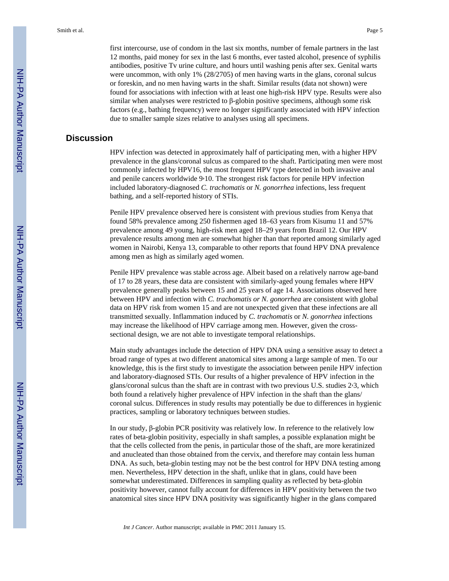first intercourse, use of condom in the last six months, number of female partners in the last 12 months, paid money for sex in the last 6 months, ever tasted alcohol, presence of syphilis antibodies, positive Tv urine culture, and hours until washing penis after sex. Genital warts were uncommon, with only 1% (28/2705) of men having warts in the glans, coronal sulcus or foreskin, and no men having warts in the shaft. Similar results (data not shown) were found for associations with infection with at least one high-risk HPV type. Results were also similar when analyses were restricted to β-globin positive specimens, although some risk factors (e.g., bathing frequency) were no longer significantly associated with HPV infection due to smaller sample sizes relative to analyses using all specimens.

#### **Discussion**

HPV infection was detected in approximately half of participating men, with a higher HPV prevalence in the glans/coronal sulcus as compared to the shaft. Participating men were most commonly infected by HPV16, the most frequent HPV type detected in both invasive anal and penile cancers worldwide 9,10. The strongest risk factors for penile HPV infection included laboratory-diagnosed *C. trachomatis* or *N. gonorrhea* infections, less frequent bathing, and a self-reported history of STIs.

Penile HPV prevalence observed here is consistent with previous studies from Kenya that found 58% prevalence among 250 fishermen aged 18–63 years from Kisumu 11 and 57% prevalence among 49 young, high-risk men aged 18–29 years from Brazil 12. Our HPV prevalence results among men are somewhat higher than that reported among similarly aged women in Nairobi, Kenya 13, comparable to other reports that found HPV DNA prevalence among men as high as similarly aged women.

Penile HPV prevalence was stable across age. Albeit based on a relatively narrow age-band of 17 to 28 years, these data are consistent with similarly-aged young females where HPV prevalence generally peaks between 15 and 25 years of age 14. Associations observed here between HPV and infection with *C. trachomatis or N. gonorrhea* are consistent with global data on HPV risk from women 15 and are not unexpected given that these infections are all transmitted sexually. Inflammation induced by *C. trachomatis* or *N. gonorrhea* infections may increase the likelihood of HPV carriage among men. However, given the crosssectional design, we are not able to investigate temporal relationships.

Main study advantages include the detection of HPV DNA using a sensitive assay to detect a broad range of types at two different anatomical sites among a large sample of men. To our knowledge, this is the first study to investigate the association between penile HPV infection and laboratory-diagnosed STIs. Our results of a higher prevalence of HPV infection in the glans/coronal sulcus than the shaft are in contrast with two previous U.S. studies 2,3, which both found a relatively higher prevalence of HPV infection in the shaft than the glans/ coronal sulcus. Differences in study results may potentially be due to differences in hygienic practices, sampling or laboratory techniques between studies.

In our study, β-globin PCR positivity was relatively low. In reference to the relatively low rates of beta-globin positivity, especially in shaft samples, a possible explanation might be that the cells collected from the penis, in particular those of the shaft, are more keratinized and anucleated than those obtained from the cervix, and therefore may contain less human DNA. As such, beta-globin testing may not be the best control for HPV DNA testing among men. Nevertheless, HPV detection in the shaft, unlike that in glans, could have been somewhat underestimated. Differences in sampling quality as reflected by beta-globin positivity however, cannot fully account for differences in HPV positivity between the two anatomical sites since HPV DNA positivity was significantly higher in the glans compared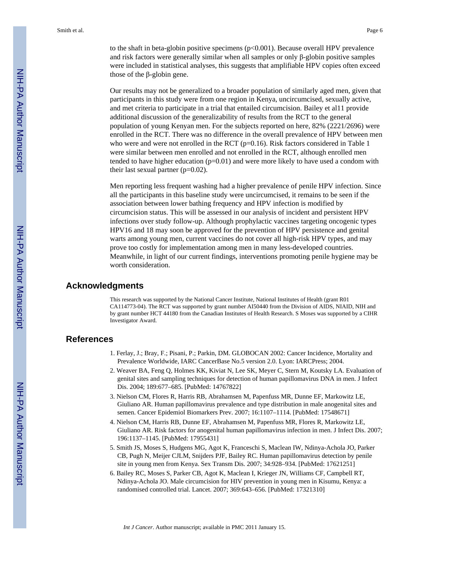to the shaft in beta-globin positive specimens  $(p<0.001)$ . Because overall HPV prevalence and risk factors were generally similar when all samples or only  $\beta$ -globin positive samples were included in statistical analyses, this suggests that amplifiable HPV copies often exceed those of the β-globin gene.

Our results may not be generalized to a broader population of similarly aged men, given that participants in this study were from one region in Kenya, uncircumcised, sexually active, and met criteria to participate in a trial that entailed circumcision. Bailey et al11 provide additional discussion of the generalizability of results from the RCT to the general population of young Kenyan men. For the subjects reported on here, 82% (2221/2696) were enrolled in the RCT. There was no difference in the overall prevalence of HPV between men who were and were not enrolled in the RCT  $(p=0.16)$ . Risk factors considered in Table 1 were similar between men enrolled and not enrolled in the RCT, although enrolled men tended to have higher education  $(p=0.01)$  and were more likely to have used a condom with their last sexual partner  $(p=0.02)$ .

Men reporting less frequent washing had a higher prevalence of penile HPV infection. Since all the participants in this baseline study were uncircumcised, it remains to be seen if the association between lower bathing frequency and HPV infection is modified by circumcision status. This will be assessed in our analysis of incident and persistent HPV infections over study follow-up. Although prophylactic vaccines targeting oncogenic types HPV16 and 18 may soon be approved for the prevention of HPV persistence and genital warts among young men, current vaccines do not cover all high-risk HPV types, and may prove too costly for implementation among men in many less-developed countries. Meanwhile, in light of our current findings, interventions promoting penile hygiene may be worth consideration.

#### **Acknowledgments**

This research was supported by the National Cancer Institute, National Institutes of Health (grant R01 CA114773-04). The RCT was supported by grant number AI50440 from the Division of AIDS, NIAID, NIH and by grant number HCT 44180 from the Canadian Institutes of Health Research. S Moses was supported by a CIHR Investigator Award.

#### **References**

- 1. Ferlay, J.; Bray, F.; Pisani, P.; Parkin, DM. GLOBOCAN 2002: Cancer Incidence, Mortality and Prevalence Worldwide, IARC CancerBase No.5 version 2.0. Lyon: IARCPress; 2004.
- 2. Weaver BA, Feng Q, Holmes KK, Kiviat N, Lee SK, Meyer C, Stern M, Koutsky LA. Evaluation of genital sites and sampling techniques for detection of human papillomavirus DNA in men. J Infect Dis. 2004; 189:677–685. [PubMed: 14767822]
- 3. Nielson CM, Flores R, Harris RB, Abrahamsen M, Papenfuss MR, Dunne EF, Markowitz LE, Giuliano AR. Human papillomavirus prevalence and type distribution in male anogenital sites and semen. Cancer Epidemiol Biomarkers Prev. 2007; 16:1107–1114. [PubMed: 17548671]
- 4. Nielson CM, Harris RB, Dunne EF, Abrahamsen M, Papenfuss MR, Flores R, Markowitz LE, Giuliano AR. Risk factors for anogenital human papillomavirus infection in men. J Infect Dis. 2007; 196:1137–1145. [PubMed: 17955431]
- 5. Smith JS, Moses S, Hudgens MG, Agot K, Franceschi S, Maclean IW, Ndinya-Achola JO, Parker CB, Pugh N, Meijer CJLM, Snijders PJF, Bailey RC. Human papillomavirus detection by penile site in young men from Kenya. Sex Transm Dis. 2007; 34:928–934. [PubMed: 17621251]
- 6. Bailey RC, Moses S, Parker CB, Agot K, Maclean I, Krieger JN, Williams CF, Campbell RT, Ndinya-Achola JO. Male circumcision for HIV prevention in young men in Kisumu, Kenya: a randomised controlled trial. Lancet. 2007; 369:643–656. [PubMed: 17321310]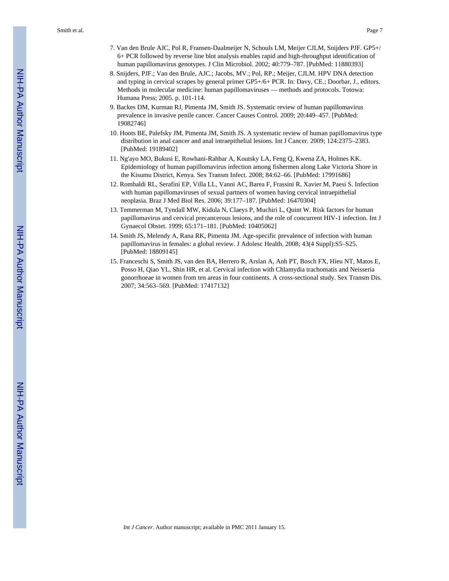- 7. Van den Brule AJC, Pol R, Fransen-Daalmeijer N, Schouls LM, Meijer CJLM, Snijders PJF. GP5+/ 6+ PCR followed by reverse line blot analysis enables rapid and high-throughput identification of human papillomavirus genotypes. J Clin Microbiol. 2002; 40:779–787. [PubMed: 11880393]
- 8. Snijders, PJF.; Van den Brule, AJC.; Jacobs, MV.; Pol, RP.; Meijer, CJLM. HPV DNA detection and typing in cervical scrapes by general primer GP5+/6+ PCR. In: Davy, CE.; Doorbar, J., editors. Methods in molecular medicine: human papillomaviruses — methods and protocols. Totowa: Humana Press; 2005. p. 101-114.
- 9. Backes DM, Kurman RJ, Pimenta JM, Smith JS. Systematic review of human papillomavirus prevalence in invasive penile cancer. Cancer Causes Control. 2009; 20:449–457. [PubMed: 19082746]
- 10. Hoots BE, Palefsky JM, Pimenta JM, Smith JS. A systematic review of human papillomavirus type distribution in anal cancer and anal intraepithelial lesions. Int J Cancer. 2009; 124:2375–2383. [PubMed: 19189402]
- 11. Ng'ayo MO, Bukusi E, Rowhani-Rahbar A, Koutsky LA, Feng Q, Kwena ZA, Holmes KK. Epidemiology of human papillomavirus infection among fishermen along Lake Victoria Shore in the Kisumu District, Kenya. Sex Transm Infect. 2008; 84:62–66. [PubMed: 17991686]
- 12. Rombaldi RL, Serafini EP, Villa LL, Vanni AC, Barea F, Frassini R, Xavier M, Paesi S. Infection with human papillomaviruses of sexual partners of women having cervical intraepithelial neoplasia. Braz J Med Biol Res. 2006; 39:177–187. [PubMed: 16470304]
- 13. Temmerman M, Tyndall MW, Kidula N, Claeys P, Muchiri L, Quint W. Risk factors for human papillomavirus and cervical precancerous lesions, and the role of concurrent HIV-1 infection. Int J Gynaecol Obstet. 1999; 65:171–181. [PubMed: 10405062]
- 14. Smith JS, Melendy A, Rana RK, Pimenta JM. Age-specific prevalence of infection with human papillomavirus in females: a global review. J Adolesc Health. 2008; 43(4 Suppl):S5–S25. [PubMed: 18809145]
- 15. Franceschi S, Smith JS, van den BA, Herrero R, Arslan A, Anh PT, Bosch FX, Hieu NT, Matos E, Posso H, Qiao YL, Shin HR, et al. Cervical infection with Chlamydia trachomatis and Neisseria gonorrhoeae in women from ten areas in four continents. A cross-sectional study. Sex Transm Dis. 2007; 34:563–569. [PubMed: 17417132]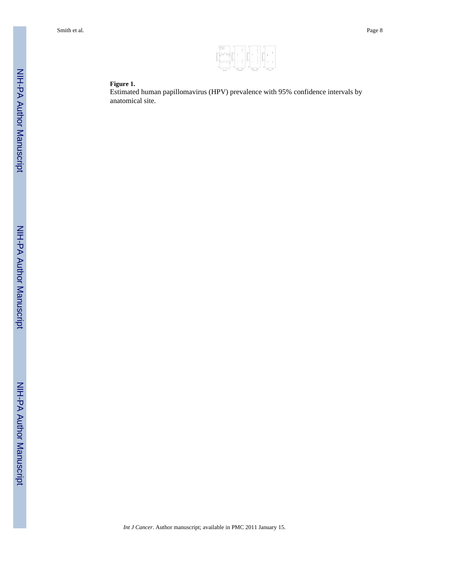

#### **Figure 1.**

Estimated human papillomavirus (HPV) prevalence with 95% confidence intervals by anatomical site.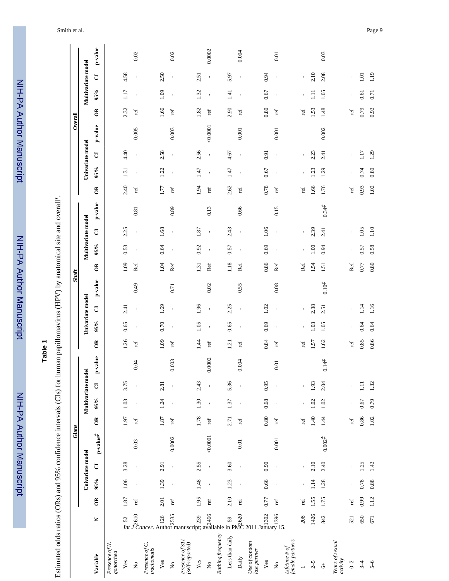NIH-PA Author Manuscript NIH-PA Author Manuscript

 NIH-PA Author ManuscriptNIH-PA Author Manuscript

# **Table 1**

Estimated odds ratios (ORs) and 95% confidence intervals (CIs) for human papillomavirus (HPV) by anatomical site and overall *†* .

|                                      |                                                                                                                                                                                                                                                                                                                                                                                                                                         |             |                |                  |                                        | Glans                |                   |                |                |                      |                |                  | Shaft         |             |                    |                |            |                      |                |                          | Overall    |                         |                    |                |         |
|--------------------------------------|-----------------------------------------------------------------------------------------------------------------------------------------------------------------------------------------------------------------------------------------------------------------------------------------------------------------------------------------------------------------------------------------------------------------------------------------|-------------|----------------|------------------|----------------------------------------|----------------------|-------------------|----------------|----------------|----------------------|----------------|------------------|---------------|-------------|--------------------|----------------|------------|----------------------|----------------|--------------------------|------------|-------------------------|--------------------|----------------|---------|
|                                      |                                                                                                                                                                                                                                                                                                                                                                                                                                         |             |                | Univariate model |                                        |                      | Multivariate mode |                |                |                      |                | Univariate model |               |             | Multivariate model |                |            |                      |                | Univariate model         |            |                         | Multivariate model |                |         |
| Variable                             | Z                                                                                                                                                                                                                                                                                                                                                                                                                                       | $\tilde{e}$ | 95%            | $\overline{C}$   | $\mathbf{p}\text{-value}^{\mathbf{f}}$ | $\tilde{e}$          | 95%               | $\overline{C}$ | p-value        | $\tilde{e}$          | 95%            | $\overline{C}$   | $p$ -value    | $\tilde{e}$ | 95%                | IJ             | $p$ -value | $\tilde{c}$          | 95%            | $\overline{C}$           | $p$ -value | $\tilde{e}$             | 95%                | đ              | p-value |
| Presence of N.<br>gonorhea           |                                                                                                                                                                                                                                                                                                                                                                                                                                         |             |                |                  |                                        |                      |                   |                |                |                      |                |                  |               |             |                    |                |            |                      |                |                          |            |                         |                    |                |         |
| $\mathbf{Yes}$                       |                                                                                                                                                                                                                                                                                                                                                                                                                                         | 1.87        | 1.06           | 3.28             |                                        | 1.97                 | 1.03              | 3.75           |                | 1.26                 | 0.65           | 2.41             |               | 1.09        | 0.53               | 2.25           |            | 2.40                 | 1.31           | 4.40                     |            | 2.32                    | 1.17               | 4.58           |         |
| $\stackrel{\circ}{\mathbf{z}}$       |                                                                                                                                                                                                                                                                                                                                                                                                                                         | ref         |                |                  | 0.03                                   | ref                  | $\blacksquare$    | ï              | 0.04           | ref                  | $\mathbf{I}$   | $\blacksquare$   | 64.0          | Ref         | $\blacksquare$     | $\mathbf{r}$   | 0.81       | ref                  | $\blacksquare$ | $\overline{\phantom{a}}$ | 0.005      | ref                     | $\blacksquare$     | $\blacksquare$ | 0.02    |
| Presence of C.<br>trachomatis        | $\begin{array}{ccccc}\n\mathbb{C} & \mathbb{C} & \mathbb{R} & \mathbb{R} & \mathbb{S} \\ \hline\n\mathbb{C} & \mathbb{C} & \mathbb{C} & \mathbb{R} & \mathbb{R} \\ \hline\n\mathbb{C} & \mathbb{C} & \mathbb{C} & \mathbb{R} \\ \mathbb{C} & \mathbb{C} & \mathbb{C} & \mathbb{R} & \mathbb{R} \\ \mathbb{C} & \mathbb{C} & \mathbb{C} & \mathbb{R} & \mathbb{R} \\ \mathbb{C} & \mathbb{C} & \mathbb{C} & \mathbb{R} & \mathbb{R} \\ $ |             |                |                  |                                        |                      |                   |                |                |                      |                |                  |               |             |                    |                |            |                      |                |                          |            |                         |                    |                |         |
| Yes                                  |                                                                                                                                                                                                                                                                                                                                                                                                                                         | 2.01        | 1.39           | 2.91             |                                        | 1.87                 | 1.24              | 2.81           |                | 1.09                 | 0.70           | 1.69             |               | 1.04        | 0.64               | 1.68           |            | 1.77                 | 1.22           | 2.58                     |            | 1.66                    | 1.09               | 2.50           |         |
| $\stackrel{\circ}{\mathsf{Z}}$       |                                                                                                                                                                                                                                                                                                                                                                                                                                         | ref         |                | $\mathbf{I}$     | 0.0002                                 | ref                  | $\mathbf{I}$      |                | 0.003          | ref                  |                | $\mathbf{I}$     | 0.71          | Ref         | $\mathbf{I}$       | $\mathbf{I}$   | 0.89       | ref                  |                |                          | 0.003      | ref                     |                    |                | 0.02    |
| Presence of STI<br>$(self-reported)$ |                                                                                                                                                                                                                                                                                                                                                                                                                                         |             |                |                  |                                        |                      |                   |                |                |                      |                |                  |               |             |                    |                |            |                      |                |                          |            |                         |                    |                |         |
| Yes                                  |                                                                                                                                                                                                                                                                                                                                                                                                                                         | 1.95        | 1.48           | 2.55             |                                        | 1.78                 | 1.30              | 2.43           |                | 1.44                 | 1.05           | 1.96             |               | 1.31        | 0.92               | 1.87           |            | 1.94                 | 1.47           | 2.56                     |            | 1.82                    | 1.32               | 2.51           |         |
| $\stackrel{\circ}{\mathbf{Z}}$       |                                                                                                                                                                                                                                                                                                                                                                                                                                         | ref         | $\blacksquare$ | $\blacksquare$   | 0.0001                                 | $\operatorname{ref}$ | $\blacksquare$    |                | 0.0002         | ref                  | $\blacksquare$ | $\mathbf{I}$     | 0.02          | Ref         | $\blacksquare$     | $\mathbf{I}$   | 0.13       | ref                  | $\blacksquare$ | $\mathbf{r}$             | 0.0001     | $\mathop{\mathrm{ref}}$ | $\blacksquare$     | $\blacksquare$ | 0.0002  |
| <b>Bathing</b> frequency             |                                                                                                                                                                                                                                                                                                                                                                                                                                         |             |                |                  |                                        |                      |                   |                |                |                      |                |                  |               |             |                    |                |            |                      |                |                          |            |                         |                    |                |         |
| Less than daily                      |                                                                                                                                                                                                                                                                                                                                                                                                                                         | 2.10        | 1.23           | 3.60             |                                        | 2.71                 | 1.37              | 5.36           |                | 1.21                 | 0.65           | 2.25             |               | 1.18        | 0.57               | 2.43           |            | 2.62                 | 1.47           | 4.67                     |            | 2.90                    | 1.41               | 5.97           |         |
| Daily                                |                                                                                                                                                                                                                                                                                                                                                                                                                                         | ref         |                | $\mathbf{I}$     | 0.01                                   | ref                  | $\blacksquare$    |                | 0.004          | ref                  |                | $\blacksquare$   | 0.55          | Ref         | $\blacksquare$     | $\blacksquare$ | 0.66       | ref                  |                | $\mathbf{I}$             | 0.001      | ref                     | $\blacksquare$     | $\blacksquare$ | 0.004   |
| Use of condom<br>last partner        | $\begin{array}{cc}\n\circ & \circ \\ \circ & \circ \\ \circ & \circ \\ \circ & \circ \\ \circ & \circ \\ \circ & \circ\n\end{array}$<br>in PMC 2011 January 15.                                                                                                                                                                                                                                                                         |             |                |                  |                                        |                      |                   |                |                |                      |                |                  |               |             |                    |                |            |                      |                |                          |            |                         |                    |                |         |
| $\mathbf{Yes}$                       |                                                                                                                                                                                                                                                                                                                                                                                                                                         | 0.77        | 0.66           | 0.90             |                                        | 0.80                 | 0.68              | 0.95           |                | 0.84                 | 0.69           | 1.02             |               | 0.86        | 0.69               | 1.06           |            | 0.78                 | 0.67           | 0.91                     |            | 0.80                    | 0.67               | 0.94           |         |
| $\stackrel{\circ}{\mathsf{Z}}$       |                                                                                                                                                                                                                                                                                                                                                                                                                                         | ref         | $\blacksquare$ |                  | $0.001\,$                              | ref                  | $\mathbf{I}$      | $\mathbf{I}$   | $0.01\,$       | ref                  |                | $\mathbf{I}$     | $0.08\,$      | Ref         | $\mathbf{I}$       | $\mathbf I$    | 0.15       | ref                  |                | $\mathbf I$              | 0.001      | ref                     | $\blacksquare$     | $\blacksquare$ | 0.01    |
| female partners<br>Lifetime # $of$   |                                                                                                                                                                                                                                                                                                                                                                                                                                         |             |                |                  |                                        |                      |                   |                |                |                      |                |                  |               |             |                    |                |            |                      |                |                          |            |                         |                    |                |         |
|                                      | 208                                                                                                                                                                                                                                                                                                                                                                                                                                     | ref         |                |                  |                                        | ref                  |                   |                |                | ref                  |                | $\mathbf{I}$     |               | Ref         |                    |                |            | ref                  |                | $\mathbf I$              |            | ref                     |                    | $\mathbf{I}$   |         |
| $2-5$                                | 1426                                                                                                                                                                                                                                                                                                                                                                                                                                    | 1.55        | 1.14           | 2.10             |                                        | 40                   | 1.02              | 1.93           |                | 1.57                 | 1.03           | 2.38             |               | 1.54        | 1.00               | 2.39           |            | 1.66                 | 1.23           | 2.23                     |            | 1.53                    | $\Xi$              | 2.10           |         |
| $\ddot{\circ}$                       | 842                                                                                                                                                                                                                                                                                                                                                                                                                                     | 1.75        | 1.28           | 2.40             | $0.002^{+}$                            | 1.44                 | 1.02              | 2.04           | $0.14\ddot{t}$ | 1.62                 | 1.05           | 2.51             | $0.10\dot{t}$ | 1.51        | 0.94               | 2.41           | $0.34^{1}$ | 1.76                 | 1.29           | 2.41                     | 0.002      | 1.48                    | 1.05               | 2.08           | 0.03    |
| Years of sexual<br>activity          |                                                                                                                                                                                                                                                                                                                                                                                                                                         |             |                |                  |                                        |                      |                   |                |                |                      |                |                  |               |             |                    |                |            |                      |                |                          |            |                         |                    |                |         |
| $0 - 2$                              | 521                                                                                                                                                                                                                                                                                                                                                                                                                                     | ref         |                |                  |                                        | rel                  |                   |                |                | $\operatorname{ref}$ |                |                  |               | Ref         |                    |                |            | $\operatorname{ref}$ |                |                          |            | $\operatorname{ref}$    |                    |                |         |
| $3-4$                                | 650                                                                                                                                                                                                                                                                                                                                                                                                                                     | 0.99        | 0.78           | 1.25             |                                        | 0.86                 | 0.67              | $\Xi$          |                | 0.85                 | 0.64           | 1.14             |               | 0.77        | 0.57               | 1.05           |            | 0.93                 | 0.74           | 1.17                     |            | 0.79                    | 0.61               | 1.01           |         |
| $5 - 6$                              | 671                                                                                                                                                                                                                                                                                                                                                                                                                                     | 1.12        | 0.88           | 1.42             |                                        | $1.02$               | 0.79              | 1.32           |                | 0.86                 | 0.64           | 1.16             |               | 0.80        | 0.58               | 1.10           |            | 1.02                 | 0.80           | 1.29                     |            | 0.92                    | 0.71               | 1.19           |         |
|                                      |                                                                                                                                                                                                                                                                                                                                                                                                                                         |             |                |                  |                                        |                      |                   |                |                |                      |                |                  |               |             |                    |                |            |                      |                |                          |            |                         |                    |                |         |